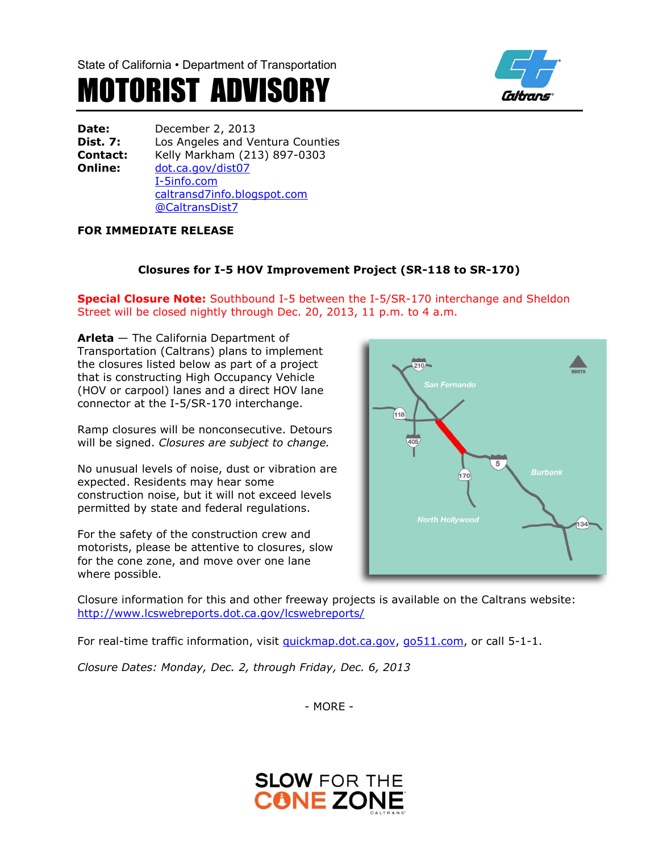State of California • Department of Transportation

# MOTORIST ADVISORY



**Date:** December 2, 2013 **Dist. 7:** Los Angeles and Ventura Counties **Contact:** Kelly Markham (213) 897-0303 **Online:** [dot.ca.gov/dist07](http://www.dot.ca.gov/dist07) [I-5info.com](http://www.i-5info.com/) caltransd7info.blogspot.com @CaltransDist7

# **FOR IMMEDIATE RELEASE**

# **Closures for I-5 HOV Improvement Project (SR-118 to SR-170)**

**Special Closure Note:** Southbound I-5 between the I-5/SR-170 interchange and Sheldon Street will be closed nightly through Dec. 20, 2013, 11 p.m. to 4 a.m.

**Arleta** — The California Department of Transportation (Caltrans) plans to implement the closures listed below as part of a project that is constructing High Occupancy Vehicle (HOV or carpool) lanes and a direct HOV lane connector at the I-5/SR-170 interchange.

Ramp closures will be nonconsecutive. Detours will be signed. *Closures are subject to change.*

No unusual levels of noise, dust or vibration are expected. Residents may hear some construction noise, but it will not exceed levels permitted by state and federal regulations.

For the safety of the construction crew and motorists, please be attentive to closures, slow for the cone zone, and move over one lane where possible.



Closure information for this and other freeway projects is available on the Caltrans website: <http://www.lcswebreports.dot.ca.gov/lcswebreports/>

For real-time traffic information, visit [quickmap.dot.ca.gov,](quickmap.dot.ca.gov) [go511.com,](go511.com) or call 5-1-1.

*Closure Dates: Monday, Dec. 2, through Friday, Dec. 6, 2013*

- MORE -

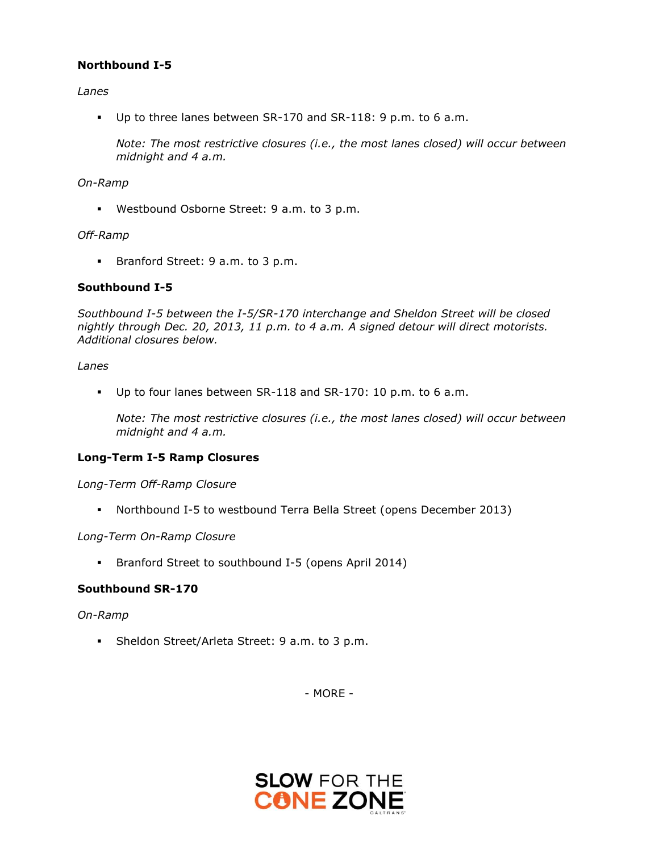## **Northbound I-5**

## *Lanes*

Up to three lanes between SR-170 and SR-118: 9 p.m. to 6 a.m.

*Note: The most restrictive closures (i.e., the most lanes closed) will occur between midnight and 4 a.m.*

### *On-Ramp*

**Westbound Osborne Street: 9 a.m. to 3 p.m.** 

### *Off-Ramp*

**Branford Street: 9 a.m. to 3 p.m.** 

## **Southbound I-5**

*Southbound I-5 between the I-5/SR-170 interchange and Sheldon Street will be closed nightly through Dec. 20, 2013, 11 p.m. to 4 a.m. A signed detour will direct motorists. Additional closures below.*

### *Lanes*

Up to four lanes between SR-118 and SR-170: 10 p.m. to 6 a.m.

*Note: The most restrictive closures (i.e., the most lanes closed) will occur between midnight and 4 a.m.* 

### **Long-Term I-5 Ramp Closures**

*Long-Term Off-Ramp Closure*

Northbound I-5 to westbound Terra Bella Street (opens December 2013)

*Long-Term On-Ramp Closure*

Branford Street to southbound I-5 (opens April 2014)

## **Southbound SR-170**

### *On-Ramp*

Sheldon Street/Arleta Street: 9 a.m. to 3 p.m.

- MORE -